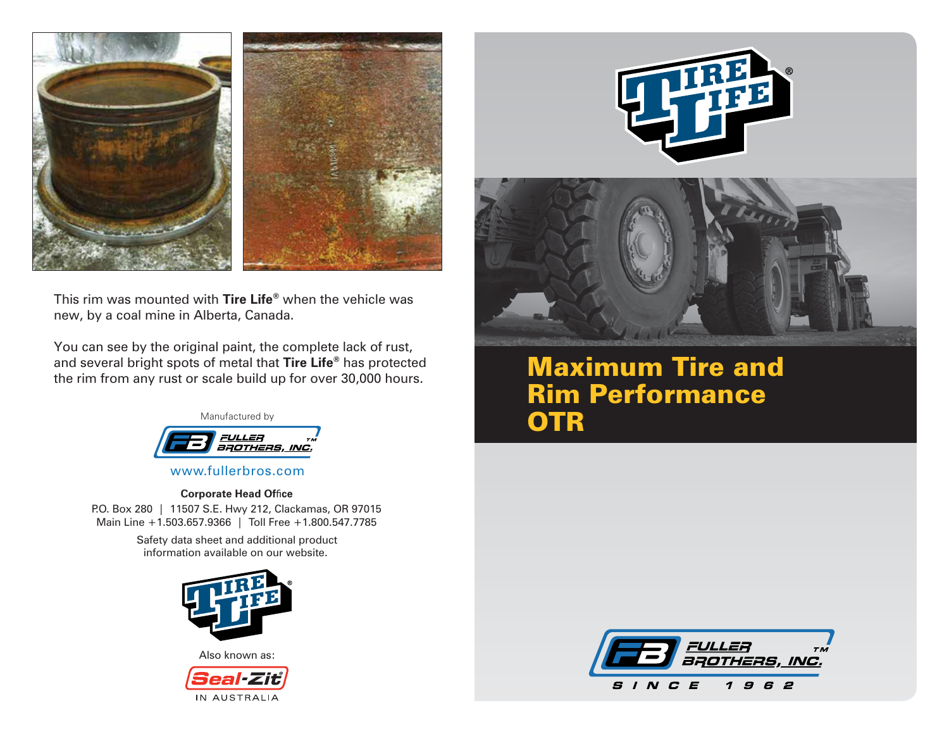

This rim was mounted with **Tire Life®** when the vehicle was new, by a coal mine in Alberta, Canada.

You can see by the original paint, the complete lack of rust, and several bright spots of metal that **Tire Life®** has protected the rim from any rust or scale build up for over 30,000 hours.



www.fullerbros.com

#### **Corporate Head Office**

P.O. Box 280 | 11507 S.E. Hwy 212, Clackamas, OR 97015 Main Line +1.503.657.9366 | Toll Free +1.800.547.7785

> Safety data sheet and additional product information available on our website.



Also known as:







Maximum Tire and Rim Performance **OTR**